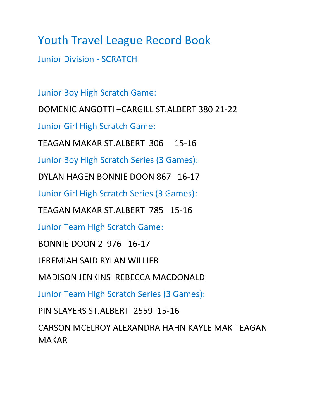Junior Division - SCRATCH

Junior Boy High Scratch Game: DOMENIC ANGOTTI –CARGILL ST.ALBERT 380 21-22 Junior Girl High Scratch Game: TEAGAN MAKAR ST.ALBERT 306 15-16 Junior Boy High Scratch Series (3 Games): DYLAN HAGEN BONNIE DOON 867 16-17 Junior Girl High Scratch Series (3 Games): TEAGAN MAKAR ST.ALBERT 785 15-16

Junior Team High Scratch Game:

BONNIE DOON 2 976 16-17

JEREMIAH SAID RYLAN WILLIER

MADISON JENKINS REBECCA MACDONALD

Junior Team High Scratch Series (3 Games):

PIN SLAYERS ST.ALBERT 2559 15-16

CARSON MCELROY ALEXANDRA HAHN KAYLE MAK TEAGAN MAKAR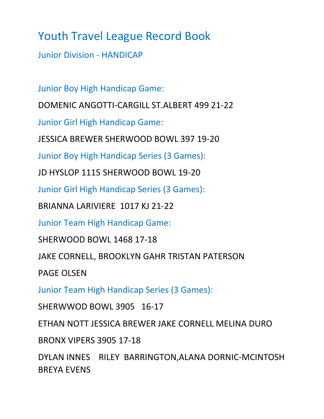Junior Division - HANDICAP

Junior Boy High Handicap Game:

DOMENIC ANGOTTI-CARGILL ST.ALBERT 499 21-22

Junior Girl High Handicap Game:

JESSICA BREWER SHERWOOD BOWL 397 19-20

Junior Boy High Handicap Series (3 Games):

JD HYSLOP 1115 SHERWOOD BOWL 19-20

Junior Girl High Handicap Series (3 Games):

BRIANNA LARIVIERE 1017 KJ 21-22

Junior Team High Handicap Game:

SHERWOOD BOWL 1468 17-18

JAKE CORNELL, BROOKLYN GAHR TRISTAN PATERSON

PAGE OLSEN

Junior Team High Handicap Series (3 Games):

SHERWWOD BOWL 3905 16-17

ETHAN NOTT JESSICA BREWER JAKE CORNELL MELINA DURO

BRONX VIPERS 3905 17-18

DYLAN INNES RILEY BARRINGTON,ALANA DORNIC-MCINTOSH BREYA EVENS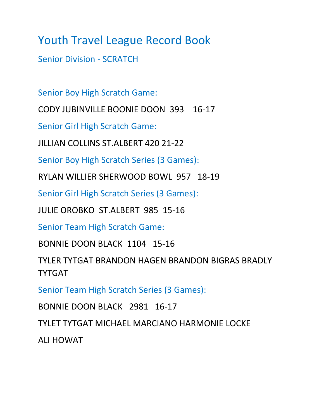Senior Division - SCRATCH

Senior Boy High Scratch Game:

CODY JUBINVILLE BOONIE DOON 393 16-17

Senior Girl High Scratch Game:

JILLIAN COLLINS ST.ALBERT 420 21-22

Senior Boy High Scratch Series (3 Games):

RYLAN WILLIER SHERWOOD BOWL 957 18-19

Senior Girl High Scratch Series (3 Games):

JULIE OROBKO ST.ALBERT 985 15-16

Senior Team High Scratch Game:

BONNIE DOON BLACK 1104 15-16

TYLER TYTGAT BRANDON HAGEN BRANDON BIGRAS BRADLY TYTGAT

Senior Team High Scratch Series (3 Games):

BONNIE DOON BLACK 2981 16-17

TYLET TYTGAT MICHAEL MARCIANO HARMONIE LOCKE

ALI HOWAT